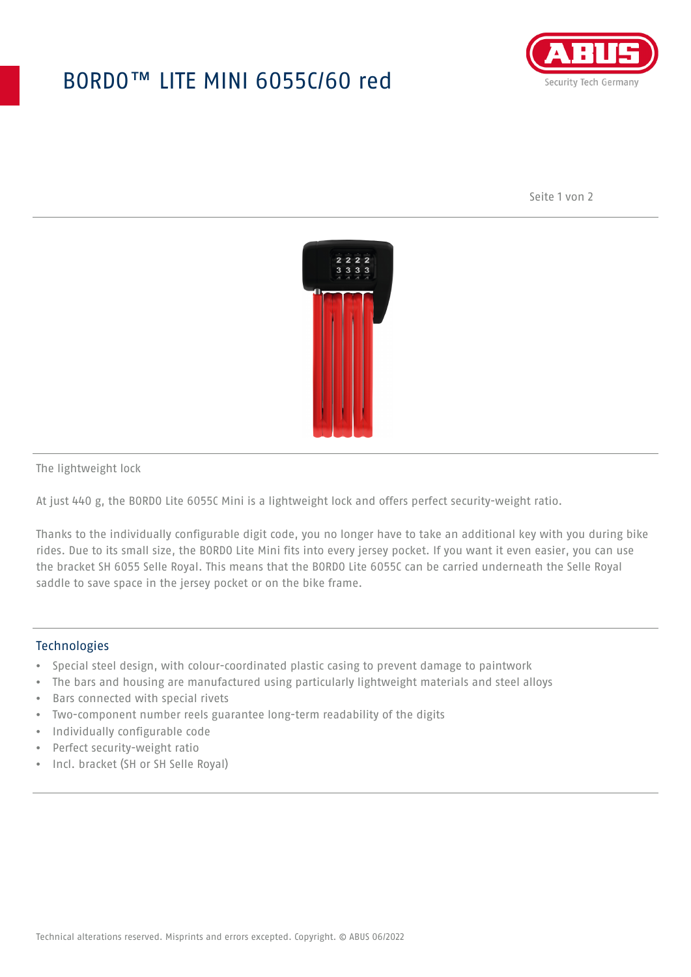## BORDO™ LITE MINI 6055C/60 red



Seite 1 von 2



The lightweight lock

At just 440 g, the BORDO Lite 6055C Mini is a lightweight lock and offers perfect security-weight ratio.

Thanks to the individually configurable digit code, you no longer have to take an additional key with you during bike rides. Due to its small size, the BORDO Lite Mini fits into every jersey pocket. If you want it even easier, you can use the bracket SH 6055 Selle Royal. This means that the BORDO Lite 6055C can be carried underneath the Selle Royal saddle to save space in the jersey pocket or on the bike frame.

## **Technologies**

- Special steel design, with colour-coordinated plastic casing to prevent damage to paintwork
- The bars and housing are manufactured using particularly lightweight materials and steel alloys
- Bars connected with special rivets
- Two-component number reels guarantee long-term readability of the digits
- Individually configurable code
- Perfect security-weight ratio
- Incl. bracket (SH or SH Selle Royal)